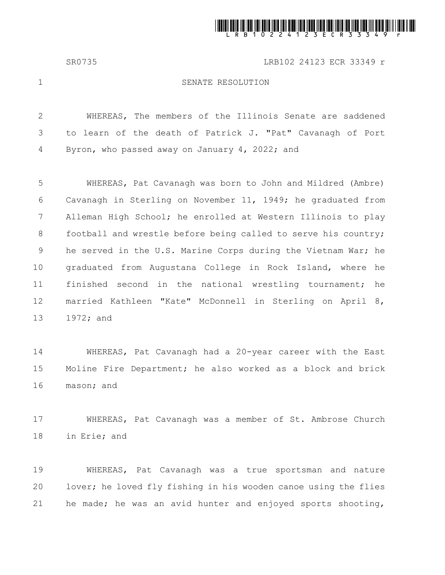

SR0735 LRB102 24123 ECR 33349 r

1

## SENATE RESOLUTION

WHEREAS, The members of the Illinois Senate are saddened to learn of the death of Patrick J. "Pat" Cavanagh of Port Byron, who passed away on January 4, 2022; and 2 3 4

WHEREAS, Pat Cavanagh was born to John and Mildred (Ambre) Cavanagh in Sterling on November 11, 1949; he graduated from Alleman High School; he enrolled at Western Illinois to play football and wrestle before being called to serve his country; he served in the U.S. Marine Corps during the Vietnam War; he graduated from Augustana College in Rock Island, where he finished second in the national wrestling tournament; he married Kathleen "Kate" McDonnell in Sterling on April 8, 1972; and 5 6 7 8 9 10 11 12 13

WHEREAS, Pat Cavanagh had a 20-year career with the East Moline Fire Department; he also worked as a block and brick mason; and 14 15 16

WHEREAS, Pat Cavanagh was a member of St. Ambrose Church in Erie; and 17 18

WHEREAS, Pat Cavanagh was a true sportsman and nature lover; he loved fly fishing in his wooden canoe using the flies he made; he was an avid hunter and enjoyed sports shooting, 19 20 21